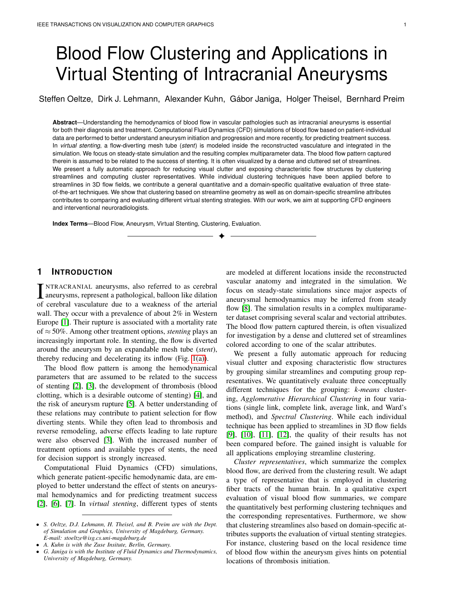# Blood Flow Clustering and Applications in Virtual Stenting of Intracranial Aneurysms

Steffen Oeltze, Dirk J. Lehmann, Alexander Kuhn, Gábor Janiga, Holger Theisel, Bernhard Preim

**Abstract**—Understanding the hemodynamics of blood flow in vascular pathologies such as intracranial aneurysms is essential for both their diagnosis and treatment. Computational Fluid Dynamics (CFD) simulations of blood flow based on patient-individual data are performed to better understand aneurysm initiation and progression and more recently, for predicting treatment success. In *virtual stenting*, a flow-diverting mesh tube (*stent*) is modeled inside the reconstructed vasculature and integrated in the simulation. We focus on steady-state simulation and the resulting complex multiparameter data. The blood flow pattern captured therein is assumed to be related to the success of stenting. It is often visualized by a dense and cluttered set of streamlines. We present a fully automatic approach for reducing visual clutter and exposing characteristic flow structures by clustering streamlines and computing cluster representatives. While individual clustering techniques have been applied before to streamlines in 3D flow fields, we contribute a general quantitative and a domain-specific qualitative evaluation of three stateof-the-art techniques. We show that clustering based on streamline geometry as well as on domain-specific streamline attributes contributes to comparing and evaluating different virtual stenting strategies. With our work, we aim at supporting CFD engineers and interventional neuroradiologists.

✦

**Index Terms**—Blood Flow, Aneurysm, Virtual Stenting, Clustering, Evaluation.

# **1 INTRODUCTION**

INTRACRANIAL aneurysms, also referred to as cerebral aneurysms, represent a pathological, balloon like dilation of cerebral vasculature due to a weakness of the arterial NTRACRANIAL aneurysms, also referred to as cerebral aneurysms, represent a pathological, balloon like dilation wall. They occur with a prevalence of about 2% in Western Europe [\[1\]](#page-14-0). Their rupture is associated with a mortality rate of ≈ 50%. Among other treatment options, *stenting* plays an increasingly important role. In stenting, the flow is diverted around the aneurysm by an expandable mesh tube (*stent*), thereby reducing and decelerating its inflow (Fig. [1\(a\)\)](#page-1-0).

The blood flow pattern is among the hemodynamical parameters that are assumed to be related to the success of stenting [\[2\]](#page-14-1), [\[3\]](#page-14-2), the development of thrombosis (blood clotting, which is a desirable outcome of stenting) [\[4\]](#page-14-3), and the risk of aneurysm rupture [\[5\]](#page-14-4). A better understanding of these relations may contribute to patient selection for flow diverting stents. While they often lead to thrombosis and reverse remodeling, adverse effects leading to late rupture were also observed [\[3\]](#page-14-2). With the increased number of treatment options and available types of stents, the need for decision support is strongly increased.

Computational Fluid Dynamics (CFD) simulations, which generate patient-specific hemodynamic data, are employed to better understand the effect of stents on aneurysmal hemodynamics and for predicting treatment success [\[2\]](#page-14-1), [\[6\]](#page-14-5), [\[7\]](#page-14-6). In *virtual stenting*, different types of stents are modeled at different locations inside the reconstructed vascular anatomy and integrated in the simulation. We focus on steady-state simulations since major aspects of aneurysmal hemodynamics may be inferred from steady flow [\[8\]](#page-14-7). The simulation results in a complex multiparameter dataset comprising several scalar and vectorial attributes. The blood flow pattern captured therein, is often visualized for investigation by a dense and cluttered set of streamlines colored according to one of the scalar attributes.

We present a fully automatic approach for reducing visual clutter and exposing characteristic flow structures by grouping similar streamlines and computing group representatives. We quantitatively evaluate three conceptually different techniques for the grouping: *k-means* clustering, *Agglomerative Hierarchical Clustering* in four variations (single link, complete link, average link, and Ward's method), and *Spectral Clustering*. While each individual technique has been applied to streamlines in 3D flow fields [\[9\]](#page-14-8), [\[10\]](#page-14-9), [\[11\]](#page-14-10), [\[12\]](#page-14-11), the quality of their results has not been compared before. The gained insight is valuable for all applications employing streamline clustering.

*Cluster representatives*, which summarize the complex blood flow, are derived from the clustering result. We adapt a type of representative that is employed in clustering fiber tracts of the human brain. In a qualitative expert evaluation of visual blood flow summaries, we compare the quantitatively best performing clustering techniques and the corresponding representatives. Furthermore, we show that clustering streamlines also based on domain-specific attributes supports the evaluation of virtual stenting strategies. For instance, clustering based on the local residence time of blood flow within the aneurysm gives hints on potential locations of thrombosis initiation.

<sup>•</sup> *S. Oeltze, D.J. Lehmann, H. Theisel, and B. Preim are with the Dept. of Simulation and Graphics, University of Magdeburg, Germany. E-mail: stoeltze@isg.cs.uni-magdeburg.de*

<sup>•</sup> *A. Kuhn is with the Zuse Insitute, Berlin, Germany.*

<sup>•</sup> *G. Janiga is with the Institute of Fluid Dynamics and Thermodynamics, University of Magdeburg, Germany.*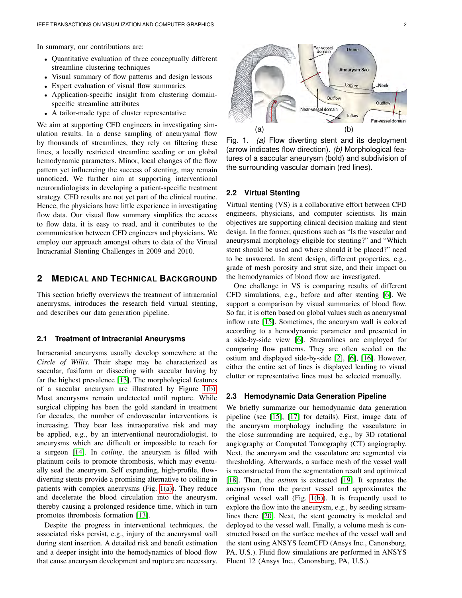In summary, our contributions are:

- Quantitative evaluation of three conceptually different streamline clustering techniques
- Visual summary of flow patterns and design lessons
- Expert evaluation of visual flow summaries
- Application-specific insight from clustering domainspecific streamline attributes
- A tailor-made type of cluster representative

We aim at supporting CFD engineers in investigating simulation results. In a dense sampling of aneurysmal flow by thousands of streamlines, they rely on filtering these lines, a locally restricted streamline seeding or on global hemodynamic parameters. Minor, local changes of the flow pattern yet influencing the success of stenting, may remain unnoticed. We further aim at supporting interventional neuroradiologists in developing a patient-specific treatment strategy. CFD results are not yet part of the clinical routine. Hence, the physicians have little experience in investigating flow data. Our visual flow summary simplifies the access to flow data, it is easy to read, and it contributes to the communication between CFD engineers and physicians. We employ our approach amongst others to data of the Virtual Intracranial Stenting Challenges in 2009 and 2010.

# **2 MEDICAL AND TECHNICAL BACKGROUND**

This section briefly overviews the treatment of intracranial aneurysms, introduces the research field virtual stenting, and describes our data generation pipeline.

#### **2.1 Treatment of Intracranial Aneurysms**

Intracranial aneurysms usually develop somewhere at the *Circle of Willis*. Their shape may be characterized as saccular, fusiform or dissecting with saccular having by far the highest prevalence [\[13\]](#page-14-12). The morphological features of a saccular aneurysm are illustrated by Figure [1\(b\).](#page-1-1) Most aneurysms remain undetected until rupture. While surgical clipping has been the gold standard in treatment for decades, the number of endovascular interventions is increasing. They bear less intraoperative risk and may be applied, e.g., by an interventional neuroradiologist, to aneurysms which are difficult or impossible to reach for a surgeon [\[14\]](#page-14-13). In *coiling*, the aneurysm is filled with platinum coils to promote thrombosis, which may eventually seal the aneurysm. Self expanding, high-profile, flowdiverting stents provide a promising alternative to coiling in patients with complex aneurysms (Fig.  $1(a)$ ). They reduce and decelerate the blood circulation into the aneurysm, thereby causing a prolonged residence time, which in turn promotes thrombosis formation [\[13\]](#page-14-12).

Despite the progress in interventional techniques, the associated risks persist, e.g., injury of the aneurysmal wall during stent insertion. A detailed risk and benefit estimation and a deeper insight into the hemodynamics of blood flow that cause aneurysm development and rupture are necessary.

<span id="page-1-0"></span>

<span id="page-1-1"></span>Fig. 1. *(a)* Flow diverting stent and its deployment (arrow indicates flow direction). *(b)* Morphological features of a saccular aneurysm (bold) and subdivision of the surrounding vascular domain (red lines).

#### **2.2 Virtual Stenting**

Virtual stenting (VS) is a collaborative effort between CFD engineers, physicians, and computer scientists. Its main objectives are supporting clinical decision making and stent design. In the former, questions such as "Is the vascular and aneurysmal morphology eligible for stenting?" and "Which stent should be used and where should it be placed?" need to be answered. In stent design, different properties, e.g., grade of mesh porosity and strut size, and their impact on the hemodynamics of blood flow are investigated.

One challenge in VS is comparing results of different CFD simulations, e.g., before and after stenting [\[6\]](#page-14-5). We support a comparison by visual summaries of blood flow. So far, it is often based on global values such as aneurysmal inflow rate [\[15\]](#page-14-14). Sometimes, the aneurysm wall is colored according to a hemodynamic parameter and presented in a side-by-side view [\[6\]](#page-14-5). Streamlines are employed for comparing flow patterns. They are often seeded on the ostium and displayed side-by-side [\[2\]](#page-14-1), [\[6\]](#page-14-5), [\[16\]](#page-14-15). However, either the entire set of lines is displayed leading to visual clutter or representative lines must be selected manually.

#### <span id="page-1-2"></span>**2.3 Hemodynamic Data Generation Pipeline**

We briefly summarize our hemodynamic data generation pipeline (see [\[15\]](#page-14-14), [\[17\]](#page-14-16) for details). First, image data of the aneurysm morphology including the vasculature in the close surrounding are acquired, e.g., by 3D rotational angiography or Computed Tomography (CT) angiography. Next, the aneurysm and the vasculature are segmented via thresholding. Afterwards, a surface mesh of the vessel wall is reconstructed from the segmentation result and optimized [\[18\]](#page-14-17). Then, the *ostium* is extracted [\[19\]](#page-14-18). It separates the aneurysm from the parent vessel and approximates the original vessel wall (Fig. [1\(b\)\)](#page-1-1). It is frequently used to explore the flow into the aneurysm, e.g., by seeding streamlines there [\[20\]](#page-14-19). Next, the stent geometry is modeled and deployed to the vessel wall. Finally, a volume mesh is constructed based on the surface meshes of the vessel wall and the stent using ANSYS IcemCFD (Ansys Inc., Canonsburg, PA, U.S.). Fluid flow simulations are performed in ANSYS Fluent 12 (Ansys Inc., Canonsburg, PA, U.S.).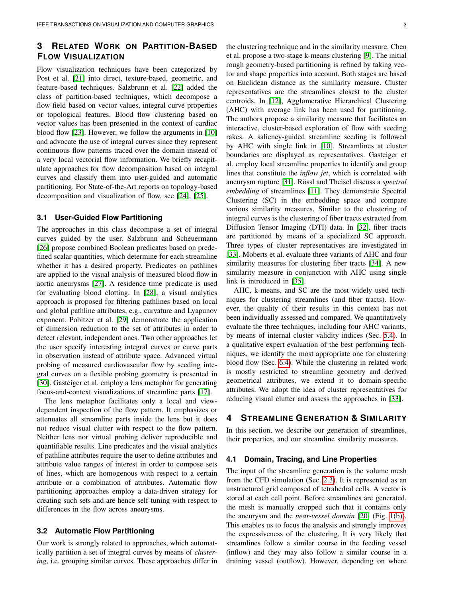# **3 RELATED WORK ON PARTITION-BASED FLOW VISUALIZATION**

Flow visualization techniques have been categorized by Post et al. [\[21\]](#page-14-20) into direct, texture-based, geometric, and feature-based techniques. Salzbrunn et al. [\[22\]](#page-14-21) added the class of partition-based techniques, which decompose a flow field based on vector values, integral curve properties or topological features. Blood flow clustering based on vector values has been presented in the context of cardiac blood flow [\[23\]](#page-15-0). However, we follow the arguments in [\[10\]](#page-14-9) and advocate the use of integral curves since they represent continuous flow patterns traced over the domain instead of a very local vectorial flow information. We briefly recapitulate approaches for flow decomposition based on integral curves and classify them into user-guided and automatic partitioning. For State-of-the-Art reports on topology-based decomposition and visualization of flow, see [\[24\]](#page-15-1), [\[25\]](#page-15-2).

#### **3.1 User-Guided Flow Partitioning**

The approaches in this class decompose a set of integral curves guided by the user. Salzbrunn and Scheuermann [\[26\]](#page-15-3) propose combined Boolean predicates based on predefined scalar quantities, which determine for each streamline whether it has a desired property. Predicates on pathlines are applied to the visual analysis of measured blood flow in aortic aneurysms [\[27\]](#page-15-4). A residence time predicate is used for evaluating blood clotting. In [\[28\]](#page-15-5), a visual analytics approach is proposed for filtering pathlines based on local and global pathline attributes, e.g., curvature and Lyapunov exponent. Pobitzer et al. [\[29\]](#page-15-6) demonstrate the application of dimension reduction to the set of attributes in order to detect relevant, independent ones. Two other approaches let the user specify interesting integral curves or curve parts in observation instead of attribute space. Advanced virtual probing of measured cardiovascular flow by seeding integral curves on a flexible probing geometry is presented in [\[30\]](#page-15-7). Gasteiger et al. employ a lens metaphor for generating focus-and-context visualizations of streamline parts [\[17\]](#page-14-16).

The lens metaphor facilitates only a local and viewdependent inspection of the flow pattern. It emphasizes or attenuates all streamline parts inside the lens but it does not reduce visual clutter with respect to the flow pattern. Neither lens nor virtual probing deliver reproducible and quantifiable results. Line predicates and the visual analytics of pathline attributes require the user to define attributes and attribute value ranges of interest in order to compose sets of lines, which are homogenous with respect to a certain attribute or a combination of attributes. Automatic flow partitioning approaches employ a data-driven strategy for creating such sets and are hence self-tuning with respect to differences in the flow across aneurysms.

#### <span id="page-2-0"></span>**3.2 Automatic Flow Partitioning**

Our work is strongly related to approaches, which automatically partition a set of integral curves by means of *clustering*, i.e. grouping similar curves. These approaches differ in the clustering technique and in the similarity measure. Chen et al. propose a two-stage k-means clustering [\[9\]](#page-14-8). The initial rough geometry-based partitioning is refined by taking vector and shape properties into account. Both stages are based on Euclidean distance as the similarity measure. Cluster representatives are the streamlines closest to the cluster centroids. In [\[12\]](#page-14-11), Agglomerative Hierarchical Clustering (AHC) with average link has been used for partitioning. The authors propose a similarity measure that facilitates an interactive, cluster-based exploration of flow with seeding rakes. A saliency-guided streamline seeding is followed by AHC with single link in [\[10\]](#page-14-9). Streamlines at cluster boundaries are displayed as representatives. Gasteiger et al. employ local streamline properties to identify and group lines that constitute the *inflow jet*, which is correlated with aneurysm rupture [\[31\]](#page-15-8). Rössl and Theisel discuss a *spectral embedding* of streamlines [\[11\]](#page-14-10). They demonstrate Spectral Clustering (SC) in the embedding space and compare various similarity measures. Similar to the clustering of integral curves is the clustering of fiber tracts extracted from Diffusion Tensor Imaging (DTI) data. In [\[32\]](#page-15-9), fiber tracts are partitioned by means of a specialized SC approach. Three types of cluster representatives are investigated in [\[33\]](#page-15-10). Moberts et al. evaluate three variants of AHC and four similarity measures for clustering fiber tracts [\[34\]](#page-15-11). A new similarity measure in conjunction with AHC using single link is introduced in [\[35\]](#page-15-12).

AHC, k-means, and SC are the most widely used techniques for clustering streamlines (and fiber tracts). However, the quality of their results in this context has not been individually assessed and compared. We quantitatively evaluate the three techniques, including four AHC variants, by means of internal cluster validity indices (Sec. [5.4\)](#page-5-0). In a qualitative expert evaluation of the best performing techniques, we identify the most appropriate one for clustering blood flow (Sec. [6.4\)](#page-9-0). While the clustering in related work is mostly restricted to streamline geometry and derived geometrical attributes, we extend it to domain-specific attributes. We adopt the idea of cluster representatives for reducing visual clutter and assess the approaches in [\[33\]](#page-15-10).

## **4 STREAMLINE GENERATION & SIMILARITY**

In this section, we describe our generation of streamlines, their properties, and our streamline similarity measures.

#### <span id="page-2-1"></span>**4.1 Domain, Tracing, and Line Properties**

The input of the streamline generation is the volume mesh from the CFD simulation (Sec. [2.3\)](#page-1-2). It is represented as an unstructured grid composed of tetrahedral cells. A vector is stored at each cell point. Before streamlines are generated, the mesh is manually cropped such that it contains only the aneurysm and the *near-vessel domain* [\[20\]](#page-14-19) (Fig. [1\(b\)\)](#page-1-1). This enables us to focus the analysis and strongly improves the expressiveness of the clustering. It is very likely that streamlines follow a similar course in the feeding vessel (inflow) and they may also follow a similar course in a draining vessel (outflow). However, depending on where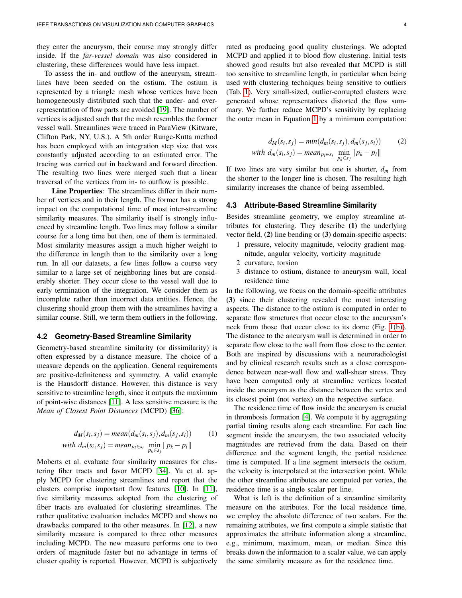they enter the aneurysm, their course may strongly differ inside. If the *far-vessel domain* was also considered in clustering, these differences would have less impact.

To assess the in- and outflow of the aneurysm, streamlines have been seeded on the ostium. The ostium is represented by a triangle mesh whose vertices have been homogeneously distributed such that the under- and overrepresentation of flow parts are avoided [\[19\]](#page-14-18). The number of vertices is adjusted such that the mesh resembles the former vessel wall. Streamlines were traced in ParaView (Kitware, Clifton Park, NY, U.S.). A 5th order Runge-Kutta method has been employed with an integration step size that was constantly adjusted according to an estimated error. The tracing was carried out in backward and forward direction. The resulting two lines were merged such that a linear traversal of the vertices from in- to outflow is possible.

Line Properties: The streamlines differ in their number of vertices and in their length. The former has a strong impact on the computational time of most inter-streamline similarity measures. The similarity itself is strongly influenced by streamline length. Two lines may follow a similar course for a long time but then, one of them is terminated. Most similarity measures assign a much higher weight to the difference in length than to the similarity over a long run. In all our datasets, a few lines follow a course very similar to a large set of neighboring lines but are considerably shorter. They occur close to the vessel wall due to early termination of the integration. We consider them as incomplete rather than incorrect data entities. Hence, the clustering should group them with the streamlines having a similar course. Still, we term them outliers in the following.

#### <span id="page-3-2"></span>**4.2 Geometry-Based Streamline Similarity**

Geometry-based streamline similarity (or dissimilarity) is often expressed by a distance measure. The choice of a measure depends on the application. General requirements are positive-definiteness and symmetry. A valid example is the Hausdorff distance. However, this distance is very sensitive to streamline length, since it outputs the maximum of point-wise distances [\[11\]](#page-14-10). A less sensitive measure is the *Mean of Closest Point Distances* (MCPD) [\[36\]](#page-15-13):

$$
d_M(s_i, s_j) = mean(d_m(s_i, s_j), d_m(s_j, s_i))
$$
<sup>(1)</sup>  
with  $d_m(s_i, s_j) = mean_{p_i \in s_i} \min_{p_k \in s_j} ||p_k - p_l||$ 

Moberts et al. evaluate four similarity measures for clustering fiber tracts and favor MCPD [\[34\]](#page-15-11). Yu et al. apply MCPD for clustering streamlines and report that the clusters comprise important flow features [\[10\]](#page-14-9). In [\[11\]](#page-14-10), five similarity measures adopted from the clustering of fiber tracts are evaluated for clustering streamlines. The rather qualitative evaluation includes MCPD and shows no drawbacks compared to the other measures. In [\[12\]](#page-14-11), a new similarity measure is compared to three other measures including MCPD. The new measure performs one to two orders of magnitude faster but no advantage in terms of cluster quality is reported. However, MCPD is subjectively

rated as producing good quality clusterings. We adopted MCPD and applied it to blood flow clustering. Initial tests showed good results but also revealed that MCPD is still too sensitive to streamline length, in particular when being used with clustering techniques being sensitive to outliers (Tab. [1\)](#page-4-0). Very small-sized, outlier-corrupted clusters were generated whose representatives distorted the flow summary. We further reduce MCPD's sensitivity by replacing the outer mean in Equation [1](#page-3-0) by a minimum computation:

<span id="page-3-1"></span>
$$
d_M(s_i, s_j) = min(d_m(s_i, s_j), d_m(s_j, s_i))
$$
  
 
$$
d_m(s_i, s_j) = mean_{p_l \in s_i} \min_{p_k \in s_j} ||p_k - p_l||
$$
 (2)

If two lines are very similar but one is shorter, *d<sup>m</sup>* from the shorter to the longer line is chosen. The resulting high similarity increases the chance of being assembled.

#### <span id="page-3-3"></span>**4.3 Attribute-Based Streamline Similarity**

Besides streamline geometry, we employ streamline attributes for clustering. They describe (1) the underlying vector field, (2) line bending or (3) domain-specific aspects:

- 1 pressure, velocity magnitude, velocity gradient magnitude, angular velocity, vorticity magnitude
- 2 curvature, torsion

 $w<sub>i</sub>$ 

3 distance to ostium, distance to aneurysm wall, local residence time

In the following, we focus on the domain-specific attributes (3) since their clustering revealed the most interesting aspects. The distance to the ostium is computed in order to separate flow structures that occur close to the aneurysm's neck from those that occur close to its dome (Fig. [1\(b\)\)](#page-1-1). The distance to the aneurysm wall is determined in order to separate flow close to the wall from flow close to the center. Both are inspired by discussions with a neuroradiologist and by clinical research results such as a close correspondence between near-wall flow and wall-shear stress. They have been computed only at streamline vertices located inside the aneurysm as the distance between the vertex and its closest point (not vertex) on the respective surface.

<span id="page-3-0"></span>The residence time of flow inside the aneurysm is crucial in thrombosis formation [\[4\]](#page-14-3). We compute it by aggregating partial timing results along each streamline. For each line segment inside the aneurysm, the two associated velocity magnitudes are retrieved from the data. Based on their difference and the segment length, the partial residence time is computed. If a line segment intersects the ostium, the velocity is interpolated at the intersection point. While the other streamline attributes are computed per vertex, the residence time is a single scalar per line.

What is left is the definition of a streamline similarity measure on the attributes. For the local residence time, we employ the absolute difference of two scalars. For the remaining attributes, we first compute a simple statistic that approximates the attribute information along a streamline, e.g., minimum, maximum, mean, or median. Since this breaks down the information to a scalar value, we can apply the same similarity measure as for the residence time.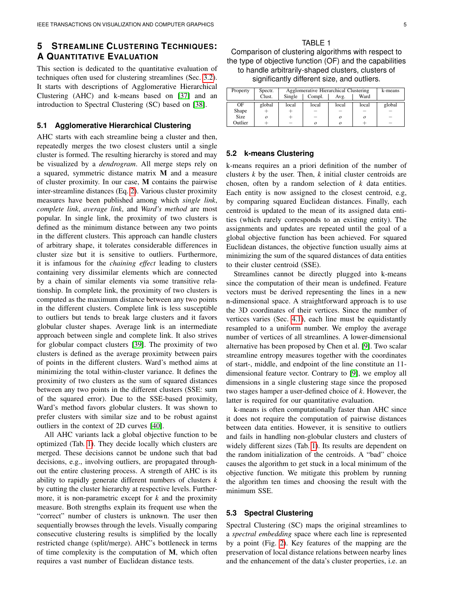# **5 STREAMLINE CLUSTERING TECHNIQUES: A QUANTITATIVE EVALUATION**

This section is dedicated to the quantitative evaluation of techniques often used for clustering streamlines (Sec. [3.2\)](#page-2-0). It starts with descriptions of Agglomerative Hierarchical Clustering (AHC) and k-means based on [\[37\]](#page-15-14) and an introduction to Spectral Clustering (SC) based on [\[38\]](#page-15-15).

#### <span id="page-4-1"></span>**5.1 Agglomerative Hierarchical Clustering**

AHC starts with each streamline being a cluster and then, repeatedly merges the two closest clusters until a single cluster is formed. The resulting hierarchy is stored and may be visualized by a *dendrogram*. All merge steps rely on a squared, symmetric distance matrix M and a measure of cluster proximity. In our case, M contains the pairwise inter-streamline distances (Eq. [2\)](#page-3-1). Various cluster proximity measures have been published among which *single link*, *complete link*, *average link*, and *Ward's method* are most popular. In single link, the proximity of two clusters is defined as the minimum distance between any two points in the different clusters. This approach can handle clusters of arbitrary shape, it tolerates considerable differences in cluster size but it is sensitive to outliers. Furthermore, it is infamous for the *chaining effect* leading to clusters containing very dissimilar elements which are connected by a chain of similar elements via some transitive relationship. In complete link, the proximity of two clusters is computed as the maximum distance between any two points in the different clusters. Complete link is less susceptible to outliers but tends to break large clusters and it favors globular cluster shapes. Average link is an intermediate approach between single and complete link. It also strives for globular compact clusters [\[39\]](#page-15-16). The proximity of two clusters is defined as the average proximity between pairs of points in the different clusters. Ward's method aims at minimizing the total within-cluster variance. It defines the proximity of two clusters as the sum of squared distances between any two points in the different clusters (SSE: sum of the squared error). Due to the SSE-based proximity, Ward's method favors globular clusters. It was shown to prefer clusters with similar size and to be robust against outliers in the context of 2D curves [\[40\]](#page-15-17).

All AHC variants lack a global objective function to be optimized (Tab. [1\)](#page-4-0). They decide locally which clusters are merged. These decisions cannot be undone such that bad decisions, e.g., involving outliers, are propagated throughout the entire clustering process. A strength of AHC is its ability to rapidly generate different numbers of clusters *k* by cutting the cluster hierarchy at respective levels. Furthermore, it is non-parametric except for *k* and the proximity measure. Both strengths explain its frequent use when the "correct" number of clusters is unknown. The user then sequentially browses through the levels. Visually comparing consecutive clustering results is simplified by the locally restricted change (split/merge). AHC's bottleneck in terms of time complexity is the computation of M, which often requires a vast number of Euclidean distance tests.

TABLE 1

<span id="page-4-0"></span>Comparison of clustering algorithms with respect to the type of objective function (OF) and the capabilities to handle arbitrarily-shaped clusters, clusters of significantly different size, and outliers.

| Property | Spectr.  | Agglomerative Hierarchical Clustering |                          |          |          | k-means                  |
|----------|----------|---------------------------------------|--------------------------|----------|----------|--------------------------|
|          | Clust.   | Single                                | Compl.                   | Avg.     | Ward     |                          |
| OF       | global   | local                                 | local                    | local    | local    | global                   |
| Shape    |          |                                       |                          |          |          |                          |
| Size     | $\Omega$ |                                       | $\overline{\phantom{0}}$ | $\Omega$ | $\Omega$ | $\overline{\phantom{0}}$ |
| Outlier  |          |                                       |                          |          |          |                          |

## <span id="page-4-2"></span>**5.2 k-means Clustering**

k-means requires an a priori definition of the number of clusters *k* by the user. Then, *k* initial cluster centroids are chosen, often by a random selection of *k* data entities. Each entity is now assigned to the closest centroid, e.g, by comparing squared Euclidean distances. Finally, each centroid is updated to the mean of its assigned data entities (which rarely corresponds to an existing entity). The assignments and updates are repeated until the goal of a global objective function has been achieved. For squared Euclidean distances, the objective function usually aims at minimizing the sum of the squared distances of data entities to their cluster centroid (SSE).

Streamlines cannot be directly plugged into k-means since the computation of their mean is undefined. Feature vectors must be derived representing the lines in a new n-dimensional space. A straightforward approach is to use the 3D coordinates of their vertices. Since the number of vertices varies (Sec. [4.1\)](#page-2-1), each line must be equidistantly resampled to a uniform number. We employ the average number of vertices of all streamlines. A lower-dimensional alternative has been proposed by Chen et al. [\[9\]](#page-14-8). Two scalar streamline entropy measures together with the coordinates of start-, middle, and endpoint of the line constitute an 11 dimensional feature vector. Contrary to [\[9\]](#page-14-8), we employ all dimensions in a single clustering stage since the proposed two stages hamper a user-defined choice of *k*. However, the latter is required for our quantitative evaluation.

k-means is often computationally faster than AHC since it does not require the computation of pairwise distances between data entities. However, it is sensitive to outliers and fails in handling non-globular clusters and clusters of widely different sizes (Tab. [1\)](#page-4-0). Its results are dependent on the random initialization of the centroids. A "bad" choice causes the algorithm to get stuck in a local minimum of the objective function. We mitigate this problem by running the algorithm ten times and choosing the result with the minimum SSE.

#### <span id="page-4-3"></span>**5.3 Spectral Clustering**

Spectral Clustering (SC) maps the original streamlines to a *spectral embedding* space where each line is represented by a point (Fig. [2\)](#page-5-1). Key features of the mapping are the preservation of local distance relations between nearby lines and the enhancement of the data's cluster properties, i.e. an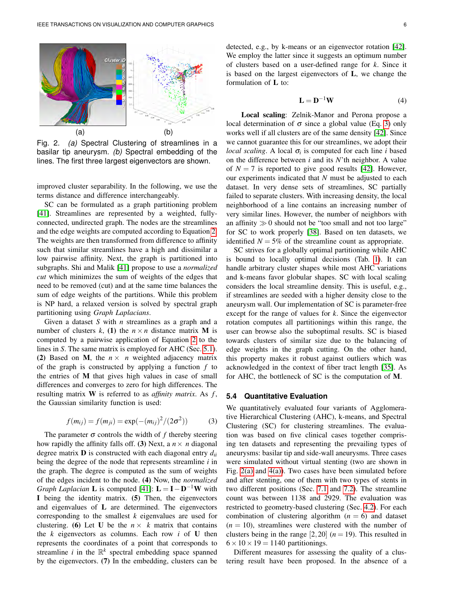<span id="page-5-3"></span>

<span id="page-5-4"></span><span id="page-5-1"></span>Fig. 2. *(a)* Spectral Clustering of streamlines in a basilar tip aneurysm. *(b)* Spectral embedding of the lines. The first three largest eigenvectors are shown.

improved cluster separability. In the following, we use the terms distance and difference interchangeably.

SC can be formulated as a graph partitioning problem [\[41\]](#page-15-18). Streamlines are represented by a weighted, fullyconnected, undirected graph. The nodes are the streamlines and the edge weights are computed according to Equation [2.](#page-3-1) The weights are then transformed from difference to affinity such that similar streamlines have a high and dissimilar a low pairwise affinity. Next, the graph is partitioned into subgraphs. Shi and Malik [\[41\]](#page-15-18) propose to use a *normalized cut* which minimizes the sum of weights of the edges that need to be removed (cut) and at the same time balances the sum of edge weights of the partitions. While this problem is NP hard, a relaxed version is solved by spectral graph partitioning using *Graph Laplacians*.

Given a dataset *S* with *n* streamlines as a graph and a number of clusters  $k$ , (1) the  $n \times n$  distance matrix **M** is computed by a pairwise application of Equation [2](#page-3-1) to the lines in *S*. The same matrix is employed for AHC (Sec. [5.1\)](#page-4-1). (2) Based on M, the  $n \times n$  weighted adjacency matrix of the graph is constructed by applying a function *f* to the entries of M that gives high values in case of small differences and converges to zero for high differences. The resulting matrix W is referred to as *affinity matrix*. As *f* , the Gaussian similarity function is used:

$$
f(m_{ij}) = f(m_{ji}) = \exp(-(m_{ij})^2/(2\sigma^2))
$$
 (3)

<span id="page-5-2"></span>The parameter  $\sigma$  controls the width of  $f$  thereby steering how rapidly the affinity falls off. (3) Next, a  $n \times n$  diagonal degree matrix D is constructed with each diagonal entry *dii* being the degree of the node that represents streamline *i* in the graph. The degree is computed as the sum of weights of the edges incident to the node. (4) Now, the *normalized Graph Laplacian* **L** is computed [\[41\]](#page-15-18):  $L = I - D^{-1}W$  with I being the identity matrix. (5) Then, the eigenvectors and eigenvalues of L are determined. The eigenvectors corresponding to the smallest *k* eigenvalues are used for clustering. (6) Let U be the  $n \times k$  matrix that contains the *k* eigenvectors as columns. Each row *i* of U then represents the coordinates of a point that corresponds to streamline  $i$  in the  $\mathbb{R}^k$  spectral embedding space spanned by the eigenvectors. (7) In the embedding, clusters can be

$$
\mathbf{L} = \mathbf{D}^{-1} \mathbf{W} \tag{4}
$$

<span id="page-5-5"></span>Local scaling: Zelnik-Manor and Perona propose a local determination of  $\sigma$  since a global value (Eq. [3\)](#page-5-2) only works well if all clusters are of the same density [\[42\]](#page-15-19). Since we cannot guarantee this for our streamlines, we adopt their *local scaling*. A local  $\sigma_i$  is computed for each line *i* based on the difference between *i* and its *N*'th neighbor. A value of  $N = 7$  is reported to give good results [\[42\]](#page-15-19). However, our experiments indicated that *N* must be adjusted to each dataset. In very dense sets of streamlines, SC partially failed to separate clusters. With increasing density, the local neighborhood of a line contains an increasing number of very similar lines. However, the number of neighbors with an affinity  $\gg 0$  should not be "too small and not too large" for SC to work properly [\[38\]](#page-15-15). Based on ten datasets, we identified  $N = 5\%$  of the streamline count as appropriate.

SC strives for a globally optimal partitioning while AHC is bound to locally optimal decisions (Tab. [1\)](#page-4-0). It can handle arbitrary cluster shapes while most AHC variations and k-means favor globular shapes. SC with local scaling considers the local streamline density. This is useful, e.g., if streamlines are seeded with a higher density close to the aneurysm wall. Our implementation of SC is parameter-free except for the range of values for *k*. Since the eigenvector rotation computes all partitionings within this range, the user can browse also the suboptimal results. SC is biased towards clusters of similar size due to the balancing of edge weights in the graph cutting. On the other hand, this property makes it robust against outliers which was acknowledged in the context of fiber tract length [\[35\]](#page-15-12). As for AHC, the bottleneck of SC is the computation of M.

#### <span id="page-5-0"></span>**5.4 Quantitative Evaluation**

We quantitatively evaluated four variants of Agglomerative Hierarchical Clustering (AHC), k-means, and Spectral Clustering (SC) for clustering streamlines. The evaluation was based on five clinical cases together comprising ten datasets and representing the prevailing types of aneurysms: basilar tip and side-wall aneurysms. Three cases were simulated without virtual stenting (two are shown in Fig. [2\(a\)](#page-5-3) and [4\(a\)\)](#page-8-0). Two cases have been simulated before and after stenting, one of them with two types of stents in two different positions (Sec. [7.1](#page-11-0) and [7.2\)](#page-12-0). The streamline count was between 1138 and 2929. The evaluation was restricted to geometry-based clustering (Sec. [4.2\)](#page-3-2). For each combination of clustering algorithm  $(n = 6)$  and dataset  $(n = 10)$ , streamlines were clustered with the number of clusters being in the range  $[2,20]$  ( $n = 19$ ). This resulted in  $6 \times 10 \times 19 = 1140$  partitionings.

Different measures for assessing the quality of a clustering result have been proposed. In the absence of a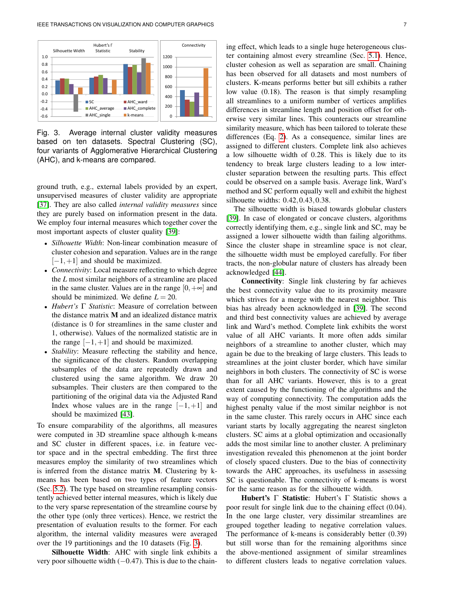

<span id="page-6-0"></span>Fig. 3. Average internal cluster validity measures based on ten datasets. Spectral Clustering (SC), four variants of Agglomerative Hierarchical Clustering (AHC), and k-means are compared.

ground truth, e.g., external labels provided by an expert, unsupervised measures of cluster validity are appropriate [\[37\]](#page-15-14). They are also called *internal validity measures* since they are purely based on information present in the data. We employ four internal measures which together cover the most important aspects of cluster quality [\[39\]](#page-15-16):

- *Silhouette Width*: Non-linear combination measure of cluster cohesion and separation. Values are in the range  $[-1, +1]$  and should be maximized.
- *Connectivity*: Local measure reflecting to which degree the *L* most similar neighbors of a streamline are placed in the same cluster. Values are in the range  $[0, +\infty]$  and should be minimized. We define  $L = 20$ .
- *Hubert's* Γ *Statistic*: Measure of correlation between the distance matrix M and an idealized distance matrix (distance is 0 for streamlines in the same cluster and 1, otherwise). Values of the normalized statistic are in the range  $[-1, +1]$  and should be maximized.
- *Stability*: Measure reflecting the stability and hence, the significance of the clusters. Random overlapping subsamples of the data are repeatedly drawn and clustered using the same algorithm. We draw 20 subsamples. Their clusters are then compared to the partitioning of the original data via the Adjusted Rand Index whose values are in the range  $[-1, +1]$  and should be maximized [\[43\]](#page-15-20).

To ensure comparability of the algorithms, all measures were computed in 3D streamline space although k-means and SC cluster in different spaces, i.e. in feature vector space and in the spectral embedding. The first three measures employ the similarity of two streamlines which is inferred from the distance matrix M. Clustering by kmeans has been based on two types of feature vectors (Sec. [5.2\)](#page-4-2). The type based on streamline resampling consistently achieved better internal measures, which is likely due to the very sparse representation of the streamline course by the other type (only three vertices). Hence, we restrict the presentation of evaluation results to the former. For each algorithm, the internal validity measures were averaged over the 19 partitionings and the 10 datasets (Fig. [3\)](#page-6-0).

Silhouette Width: AHC with single link exhibits a very poor silhouette width  $(-0.47)$ . This is due to the chaining effect, which leads to a single huge heterogeneous cluster containing almost every streamline (Sec. [5.1\)](#page-4-1). Hence, cluster cohesion as well as separation are small. Chaining has been observed for all datasets and most numbers of clusters. K-means performs better but sill exhibits a rather low value (0.18). The reason is that simply resampling all streamlines to a uniform number of vertices amplifies differences in streamline length and position offset for otherwise very similar lines. This counteracts our streamline similarity measure, which has been tailored to tolerate these differences (Eq. [2\)](#page-3-1). As a consequence, similar lines are assigned to different clusters. Complete link also achieves a low silhouette width of 0.28. This is likely due to its tendency to break large clusters leading to a low intercluster separation between the resulting parts. This effect could be observed on a sample basis. Average link, Ward's method and SC perform equally well and exhibit the highest silhouette widths: 0.42,0.43,0.38.

The silhouette width is biased towards globular clusters [\[39\]](#page-15-16). In case of elongated or concave clusters, algorithms correctly identifying them, e.g., single link and SC, may be assigned a lower silhouette width than failing algorithms. Since the cluster shape in streamline space is not clear, the silhouette width must be employed carefully. For fiber tracts, the non-globular nature of clusters has already been acknowledged [\[44\]](#page-15-21).

Connectivity: Single link clustering by far achieves the best connectivity value due to its proximity measure which strives for a merge with the nearest neighbor. This bias has already been acknowledged in [\[39\]](#page-15-16). The second and third best connectivity values are achieved by average link and Ward's method. Complete link exhibits the worst value of all AHC variants. It more often adds similar neighbors of a streamline to another cluster, which may again be due to the breaking of large clusters. This leads to streamlines at the joint cluster border, which have similar neighbors in both clusters. The connectivity of SC is worse than for all AHC variants. However, this is to a great extent caused by the functioning of the algorithms and the way of computing connectivity. The computation adds the highest penalty value if the most similar neighbor is not in the same cluster. This rarely occurs in AHC since each variant starts by locally aggregating the nearest singleton clusters. SC aims at a global optimization and occasionally adds the most similar line to another cluster. A preliminary investigation revealed this phenomenon at the joint border of closely spaced clusters. Due to the bias of connectivity towards the AHC approaches, its usefulness in assessing SC is questionable. The connectivity of k-means is worst for the same reason as for the silhouette width.

Hubert's Γ Statistic: Hubert's Γ Statistic shows a poor result for single link due to the chaining effect (0.04). In the one large cluster, very dissimilar streamlines are grouped together leading to negative correlation values. The performance of k-means is considerably better (0.39) but still worse than for the remaining algorithms since the above-mentioned assignment of similar streamlines to different clusters leads to negative correlation values.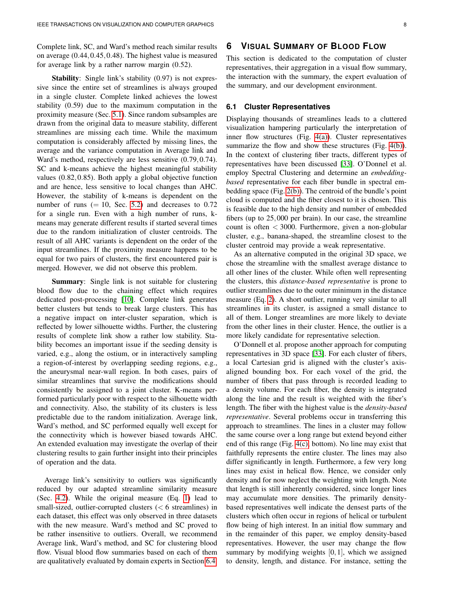Complete link, SC, and Ward's method reach similar results on average (0.44,0.45,0.48). The highest value is measured for average link by a rather narrow margin (0.52).

Stability: Single link's stability (0.97) is not expressive since the entire set of streamlines is always grouped in a single cluster. Complete linked achieves the lowest stability (0.59) due to the maximum computation in the proximity measure (Sec. [5.1\)](#page-4-1). Since random subsamples are drawn from the original data to measure stability, different streamlines are missing each time. While the maximum computation is considerably affected by missing lines, the average and the variance computation in Average link and Ward's method, respectively are less sensitive (0.79,0.74). SC and k-means achieve the highest meaningful stability values (0.82,0.85). Both apply a global objective function and are hence, less sensitive to local changes than AHC. However, the stability of k-means is dependent on the number of runs  $(= 10, \text{ Sec. } 5.2)$  $(= 10, \text{ Sec. } 5.2)$  and decreases to 0.72 for a single run. Even with a high number of runs, kmeans may generate different results if started several times due to the random initialization of cluster centroids. The result of all AHC variants is dependent on the order of the input streamlines. If the proximity measure happens to be equal for two pairs of clusters, the first encountered pair is merged. However, we did not observe this problem.

Summary: Single link is not suitable for clustering blood flow due to the chaining effect which requires dedicated post-processing [\[10\]](#page-14-9). Complete link generates better clusters but tends to break large clusters. This has a negative impact on inter-cluster separation, which is reflected by lower silhouette widths. Further, the clustering results of complete link show a rather low stability. Stability becomes an important issue if the seeding density is varied, e.g., along the ostium, or in interactively sampling a region-of-interest by overlapping seeding regions, e.g., the aneurysmal near-wall region. In both cases, pairs of similar streamlines that survive the modifications should consistently be assigned to a joint cluster. K-means performed particularly poor with respect to the silhouette width and connectivity. Also, the stability of its clusters is less predictable due to the random initialization. Average link, Ward's method, and SC performed equally well except for the connectivity which is however biased towards AHC. An extended evaluation may investigate the overlap of their clustering results to gain further insight into their principles of operation and the data.

Average link's sensitivity to outliers was significantly reduced by our adapted streamline similarity measure (Sec. [4.2\)](#page-3-2). While the original measure (Eq. [1\)](#page-3-0) lead to small-sized, outlier-corrupted clusters  $(< 6$  streamlines) in each dataset, this effect was only observed in three datasets with the new measure. Ward's method and SC proved to be rather insensitive to outliers. Overall, we recommend Average link, Ward's method, and SC for clustering blood flow. Visual blood flow summaries based on each of them are qualitatively evaluated by domain experts in Section [6.4.](#page-9-0)

# **6 VISUAL SUMMARY OF BLOOD FLOW**

This section is dedicated to the computation of cluster representatives, their aggregation in a visual flow summary, the interaction with the summary, the expert evaluation of the summary, and our development environment.

#### <span id="page-7-0"></span>**6.1 Cluster Representatives**

Displaying thousands of streamlines leads to a cluttered visualization hampering particularly the interpretation of inner flow structures (Fig. [4\(a\)\)](#page-8-0). Cluster representatives summarize the flow and show these structures (Fig. [4\(b\)\)](#page-8-1). In the context of clustering fiber tracts, different types of representatives have been discussed [\[33\]](#page-15-10). O'Donnel et al. employ Spectral Clustering and determine an *embeddingbased* representative for each fiber bundle in spectral embedding space (Fig. [2\(b\)\)](#page-5-4). The centroid of the bundle's point cloud is computed and the fiber closest to it is chosen. This is feasible due to the high density and number of embedded fibers (up to 25,000 per brain). In our case, the streamline count is often  $<$  3000. Furthermore, given a non-globular cluster, e.g., banana-shaped, the streamline closest to the cluster centroid may provide a weak representative.

As an alternative computed in the original 3D space, we chose the streamline with the smallest average distance to all other lines of the cluster. While often well representing the clusters, this *distance-based representative* is prone to outlier streamlines due to the outer minimum in the distance measure (Eq. [2\)](#page-3-1). A short outlier, running very similar to all streamlines in its cluster, is assigned a small distance to all of them. Longer streamlines are more likely to deviate from the other lines in their cluster. Hence, the outlier is a more likely candidate for representative selection.

O'Donnell et al. propose another approach for computing representatives in 3D space [\[33\]](#page-15-10). For each cluster of fibers, a local Cartesian grid is aligned with the cluster's axisaligned bounding box. For each voxel of the grid, the number of fibers that pass through is recorded leading to a density volume. For each fiber, the density is integrated along the line and the result is weighted with the fiber's length. The fiber with the highest value is the *density-based representative*. Several problems occur in transferring this approach to streamlines. The lines in a cluster may follow the same course over a long range but extend beyond either end of this range (Fig. [4\(c\),](#page-8-2) bottom). No line may exist that faithfully represents the entire cluster. The lines may also differ significantly in length. Furthermore, a few very long lines may exist in helical flow. Hence, we consider only density and for now neglect the weighting with length. Note that length is still inherently considered, since longer lines may accumulate more densities. The primarily densitybased representatives well indicate the densest parts of the clusters which often occur in regions of helical or turbulent flow being of high interest. In an initial flow summary and in the remainder of this paper, we employ density-based representatives. However, the user may change the flow summary by modifying weights [0,1], which we assigned to density, length, and distance. For instance, setting the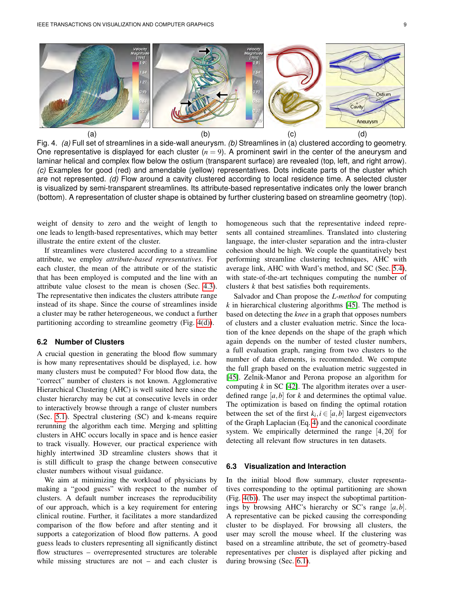<span id="page-8-0"></span>

<span id="page-8-1"></span>Fig. 4. *(a)* Full set of streamlines in a side-wall aneurysm. *(b)* Streamlines in (a) clustered according to geometry. One representative is displayed for each cluster  $(n = 9)$ . A prominent swirl in the center of the aneurysm and laminar helical and complex flow below the ostium (transparent surface) are revealed (top, left, and right arrow). *(c)* Examples for good (red) and amendable (yellow) representatives. Dots indicate parts of the cluster which are not represented. *(d)* Flow around a cavity clustered according to local residence time. A selected cluster is visualized by semi-transparent streamlines. Its attribute-based representative indicates only the lower branch (bottom). A representation of cluster shape is obtained by further clustering based on streamline geometry (top).

weight of density to zero and the weight of length to one leads to length-based representatives, which may better illustrate the entire extent of the cluster.

If streamlines were clustered according to a streamline attribute, we employ *attribute-based representatives*. For each cluster, the mean of the attribute or of the statistic that has been employed is computed and the line with an attribute value closest to the mean is chosen (Sec. [4.3\)](#page-3-3). The representative then indicates the clusters attribute range instead of its shape. Since the course of streamlines inside a cluster may be rather heterogeneous, we conduct a further partitioning according to streamline geometry (Fig. [4\(d\)\)](#page-8-3).

#### <span id="page-8-4"></span>**6.2 Number of Clusters**

A crucial question in generating the blood flow summary is how many representatives should be displayed, i.e. how many clusters must be computed? For blood flow data, the "correct" number of clusters is not known. Agglomerative Hierarchical Clustering (AHC) is well suited here since the cluster hierarchy may be cut at consecutive levels in order to interactively browse through a range of cluster numbers (Sec. [5.1\)](#page-4-1). Spectral clustering (SC) and k-means require rerunning the algorithm each time. Merging and splitting clusters in AHC occurs locally in space and is hence easier to track visually. However, our practical experience with highly intertwined 3D streamline clusters shows that it is still difficult to grasp the change between consecutive cluster numbers without visual guidance.

We aim at minimizing the workload of physicians by making a "good guess" with respect to the number of clusters. A default number increases the reproducibility of our approach, which is a key requirement for entering clinical routine. Further, it facilitates a more standardized comparison of the flow before and after stenting and it supports a categorization of blood flow patterns. A good guess leads to clusters representing all significantly distinct flow structures – overrepresented structures are tolerable while missing structures are not – and each cluster is <span id="page-8-3"></span><span id="page-8-2"></span>homogeneous such that the representative indeed represents all contained streamlines. Translated into clustering language, the inter-cluster separation and the intra-cluster cohesion should be high. We couple the quantitatively best performing streamline clustering techniques, AHC with average link, AHC with Ward's method, and SC (Sec. [5.4\)](#page-5-0), with state-of-the-art techniques computing the number of clusters *k* that best satisfies both requirements.

Salvador and Chan propose the *L-method* for computing *k* in hierarchical clustering algorithms [\[45\]](#page-15-22). The method is based on detecting the *knee* in a graph that opposes numbers of clusters and a cluster evaluation metric. Since the location of the knee depends on the shape of the graph which again depends on the number of tested cluster numbers, a full evaluation graph, ranging from two clusters to the number of data elements, is recommended. We compute the full graph based on the evaluation metric suggested in [\[45\]](#page-15-22). Zelnik-Manor and Perona propose an algorithm for computing  $k$  in SC [\[42\]](#page-15-19). The algorithm iterates over a userdefined range  $[a, b]$  for  $k$  and determines the optimal value. The optimization is based on finding the optimal rotation between the set of the first  $k_i$ ,  $i \in [a, b]$  largest eigenvectors of the Graph Laplacian (Eq. [4\)](#page-5-5) and the canonical coordinate system. We empirically determined the range [4,20] for detecting all relevant flow structures in ten datasets.

#### **6.3 Visualization and Interaction**

In the initial blood flow summary, cluster representatives corresponding to the optimal partitioning are shown (Fig. [4\(b\)\)](#page-8-1). The user may inspect the suboptimal partitionings by browsing AHC's hierarchy or SC's range [*a*,*b*]. A representative can be picked causing the corresponding cluster to be displayed. For browsing all clusters, the user may scroll the mouse wheel. If the clustering was based on a streamline attribute, the set of geometry-based representatives per cluster is displayed after picking and during browsing (Sec. [6.1\)](#page-7-0).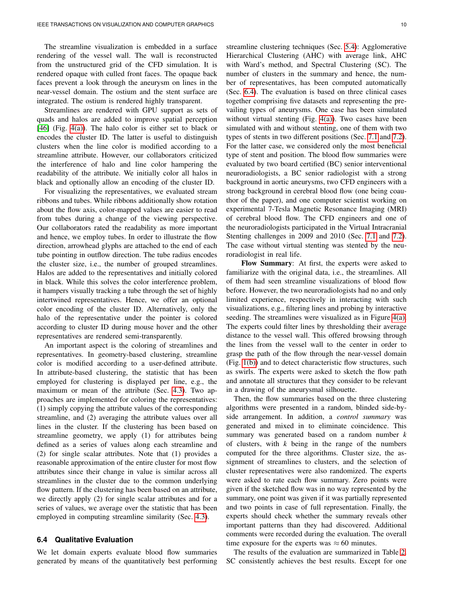The streamline visualization is embedded in a surface rendering of the vessel wall. The wall is reconstructed from the unstructured grid of the CFD simulation. It is rendered opaque with culled front faces. The opaque back faces prevent a look through the aneurysm on lines in the near-vessel domain. The ostium and the stent surface are integrated. The ostium is rendered highly transparent.

Streamlines are rendered with GPU support as sets of quads and halos are added to improve spatial perception [\[46\]](#page-15-23) (Fig. [4\(a\)\)](#page-8-0). The halo color is either set to black or encodes the cluster ID. The latter is useful to distinguish clusters when the line color is modified according to a streamline attribute. However, our collaborators criticized the interference of halo and line color hampering the readability of the attribute. We initially color all halos in black and optionally allow an encoding of the cluster ID.

For visualizing the representatives, we evaluated stream ribbons and tubes. While ribbons additionally show rotation about the flow axis, color-mapped values are easier to read from tubes during a change of the viewing perspective. Our collaborators rated the readability as more important and hence, we employ tubes. In order to illustrate the flow direction, arrowhead glyphs are attached to the end of each tube pointing in outflow direction. The tube radius encodes the cluster size, i.e., the number of grouped streamlines. Halos are added to the representatives and initially colored in black. While this solves the color interference problem, it hampers visually tracking a tube through the set of highly intertwined representatives. Hence, we offer an optional color encoding of the cluster ID. Alternatively, only the halo of the representative under the pointer is colored according to cluster ID during mouse hover and the other representatives are rendered semi-transparently.

An important aspect is the coloring of streamlines and representatives. In geometry-based clustering, streamline color is modified according to a user-defined attribute. In attribute-based clustering, the statistic that has been employed for clustering is displayed per line, e.g., the maximum or mean of the attribute (Sec. [4.3\)](#page-3-3). Two approaches are implemented for coloring the representatives: (1) simply copying the attribute values of the corresponding streamline, and (2) averaging the attribute values over all lines in the cluster. If the clustering has been based on streamline geometry, we apply (1) for attributes being defined as a series of values along each streamline and (2) for single scalar attributes. Note that (1) provides a reasonable approximation of the entire cluster for most flow attributes since their change in value is similar across all streamlines in the cluster due to the common underlying flow pattern. If the clustering has been based on an attribute, we directly apply (2) for single scalar attributes and for a series of values, we average over the statistic that has been employed in computing streamline similarity (Sec. [4.3\)](#page-3-3).

## <span id="page-9-0"></span>**6.4 Qualitative Evaluation**

We let domain experts evaluate blood flow summaries generated by means of the quantitatively best performing streamline clustering techniques (Sec. [5.4\)](#page-5-0): Agglomerative Hierarchical Clustering (AHC) with average link, AHC with Ward's method, and Spectral Clustering (SC). The number of clusters in the summary and hence, the number of representatives, has been computed automatically (Sec. [6.4\)](#page-9-0). The evaluation is based on three clinical cases together comprising five datasets and representing the prevailing types of aneurysms. One case has been simulated without virtual stenting  $(Fig. 4(a))$  $(Fig. 4(a))$ . Two cases have been simulated with and without stenting, one of them with two types of stents in two different positions (Sec. [7.1](#page-11-0) and [7.2\)](#page-12-0). For the latter case, we considered only the most beneficial type of stent and position. The blood flow summaries were evaluated by two board certified (BC) senior interventional neuroradiologists, a BC senior radiologist with a strong background in aortic aneurysms, two CFD engineers with a strong background in cerebral blood flow (one being coauthor of the paper), and one computer scientist working on experimental 7-Tesla Magnetic Resonance Imaging (MRI) of cerebral blood flow. The CFD engineers and one of the neuroradiologists participated in the Virtual Intracranial Stenting challenges in 2009 and 2010 (Sec. [7.1](#page-11-0) and [7.2\)](#page-12-0). The case without virtual stenting was stented by the neuroradiologist in real life.

Flow Summary: At first, the experts were asked to familiarize with the original data, i.e., the streamlines. All of them had seen streamline visualizations of blood flow before. However, the two neuroradiologists had no and only limited experience, respectively in interacting with such visualizations, e.g., filtering lines and probing by interactive seeding. The streamlines were visualized as in Figure [4\(a\).](#page-8-0) The experts could filter lines by thresholding their average distance to the vessel wall. This offered browsing through the lines from the vessel wall to the center in order to grasp the path of the flow through the near-vessel domain (Fig. [1\(b\)\)](#page-1-1) and to detect characteristic flow structures, such as swirls. The experts were asked to sketch the flow path and annotate all structures that they consider to be relevant in a drawing of the aneurysmal silhouette.

Then, the flow summaries based on the three clustering algorithms were presented in a random, blinded side-byside arrangement. In addition, a *control summary* was generated and mixed in to eliminate coincidence. This summary was generated based on a random number *k* of clusters, with *k* being in the range of the numbers computed for the three algorithms. Cluster size, the assignment of streamlines to clusters, and the selection of cluster representatives were also randomized. The experts were asked to rate each flow summary. Zero points were given if the sketched flow was in no way represented by the summary, one point was given if it was partially represented and two points in case of full representation. Finally, the experts should check whether the summary reveals other important patterns than they had discovered. Additional comments were recorded during the evaluation. The overall time exposure for the experts was  $\approx 60$  minutes.

The results of the evaluation are summarized in Table [2.](#page-10-0) SC consistently achieves the best results. Except for one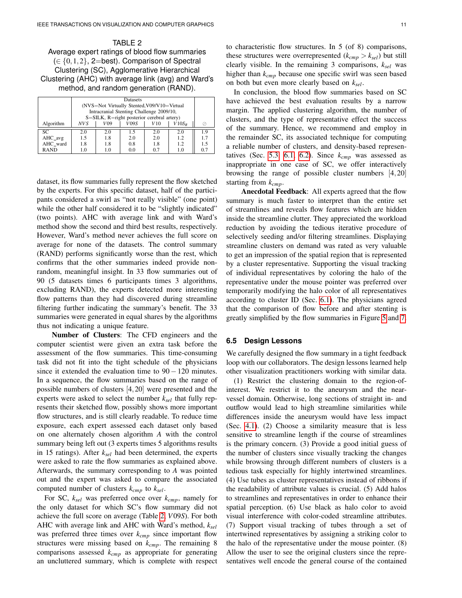<span id="page-10-0"></span>TABLE 2 Average expert ratings of blood flow summaries  $(\in \{0,1,2\}, 2=best)$ . Comparison of Spectral Clustering (SC), Agglomerative Hierarchical Clustering (AHC) with average link (avg) and Ward's method, and random generation (RAND).

|             | <b>Datasets</b>                             |     |      |     |          |     |
|-------------|---------------------------------------------|-----|------|-----|----------|-----|
|             | (NVS=Not Virtually Stented, V09/V10=Virtual |     |      |     |          |     |
|             | Intracranial Stenting Challenge 2009/10,    |     |      |     |          |     |
|             | S=SILK, R=right posterior cerebral artery)  |     |      |     |          |     |
| Algorithm   | NV S                                        | V09 | V09S | V10 | $V10S_R$ |     |
| SC.         | 2.0                                         | 2.0 | 15   | 2.0 | 2.0      | 19  |
| $AHC_{avg}$ | 1.5                                         | 1.8 | 2.0  | 2.0 | 1.2      |     |
| AHC ward    | 1.8                                         | 1.8 | 0.8  | 1.8 | 1.2      | 1.5 |
| <b>RAND</b> | 1.0                                         | 1.0 | 0.0  | 0.7 | 1.0      | 0.7 |

dataset, its flow summaries fully represent the flow sketched by the experts. For this specific dataset, half of the participants considered a swirl as "not really visible" (one point) while the other half considered it to be "slightly indicated" (two points). AHC with average link and with Ward's method show the second and third best results, respectively. However, Ward's method never achieves the full score on average for none of the datasets. The control summary (RAND) performs significantly worse than the rest, which confirms that the other summaries indeed provide nonrandom, meaningful insight. In 33 flow summaries out of 90 (5 datasets times 6 participants times 3 algorithms, excluding RAND), the experts detected more interesting flow patterns than they had discovered during streamline filtering further indicating the summary's benefit. The 33 summaries were generated in equal shares by the algorithms thus not indicating a unique feature.

Number of Clusters: The CFD engineers and the computer scientist were given an extra task before the assessment of the flow summaries. This time-consuming task did not fit into the tight schedule of the physicians since it extended the evaluation time to 90−120 minutes. In a sequence, the flow summaries based on the range of possible numbers of clusters [4,20] were presented and the experts were asked to select the number *ksel* that fully represents their sketched flow, possibly shows more important flow structures, and is still clearly readable. To reduce time exposure, each expert assessed each dataset only based on one alternately chosen algorithm *A* with the control summary being left out (3 experts times 5 algorithms results in 15 ratings). After *ksel* had been determined, the experts were asked to rate the flow summaries as explained above. Afterwards, the summary corresponding to *A* was pointed out and the expert was asked to compare the associated computed number of clusters *kcmp* to *ksel*.

For SC, *ksel* was preferred once over *kcmp*, namely for the only dataset for which SC's flow summary did not achieve the full score on average (Table [2,](#page-10-0) *V*09*S*). For both AHC with average link and AHC with Ward's method, *ksel* was preferred three times over *kcmp* since important flow structures were missing based on *kcmp*. The remaining 8 comparisons assessed *kcmp* as appropriate for generating an uncluttered summary, which is complete with respect to characteristic flow structures. In 5 (of 8) comparisons, these structures were overrepresented  $(k_{cmp} > k_{sel})$  but still clearly visible. In the remaining 3 comparisons, *ksel* was higher than *kcmp* because one specific swirl was seen based on both but even more clearly based on *ksel*.

In conclusion, the blood flow summaries based on SC have achieved the best evaluation results by a narrow margin. The applied clustering algorithm, the number of clusters, and the type of representative effect the success of the summary. Hence, we recommend and employ in the remainder SC, its associated technique for computing a reliable number of clusters, and density-based representatives (Sec. [5.3,](#page-4-3) [6.1,](#page-7-0) [6.2\)](#page-8-4). Since *kcmp* was assessed as inappropriate in one case of SC, we offer interactively browsing the range of possible cluster numbers [4,20] starting from *kcmp*.

Anecdotal Feedback: All experts agreed that the flow summary is much faster to interpret than the entire set of streamlines and reveals flow features which are hidden inside the streamline clutter. They appreciated the workload reduction by avoiding the tedious iterative procedure of selectively seeding and/or filtering streamlines. Displaying streamline clusters on demand was rated as very valuable to get an impression of the spatial region that is represented by a cluster representative. Supporting the visual tracking of individual representatives by coloring the halo of the representative under the mouse pointer was preferred over temporarily modifying the halo color of all representatives according to cluster ID (Sec. [6.1\)](#page-7-0). The physicians agreed that the comparison of flow before and after stenting is greatly simplified by the flow summaries in Figure [5](#page-11-1) and [7.](#page-12-1)

#### **6.5 Design Lessons**

We carefully designed the flow summary in a tight feedback loop with our collaborators. The design lessons learned help other visualization practitioners working with similar data.

(1) Restrict the clustering domain to the region-ofinterest. We restrict it to the aneurysm and the nearvessel domain. Otherwise, long sections of straight in- and outflow would lead to high streamline similarities while differences inside the aneurysm would have less impact (Sec. [4.1\)](#page-2-1). (2) Choose a similarity measure that is less sensitive to streamline length if the course of streamlines is the primary concern. (3) Provide a good initial guess of the number of clusters since visually tracking the changes while browsing through different numbers of clusters is a tedious task especially for highly intertwined streamlines. (4) Use tubes as cluster representatives instead of ribbons if the readability of attribute values is crucial. (5) Add halos to streamlines and representatives in order to enhance their spatial perception. (6) Use black as halo color to avoid visual interference with color-coded streamline attributes. (7) Support visual tracking of tubes through a set of intertwined representatives by assigning a striking color to the halo of the representative under the mouse pointer. (8) Allow the user to see the original clusters since the representatives well encode the general course of the contained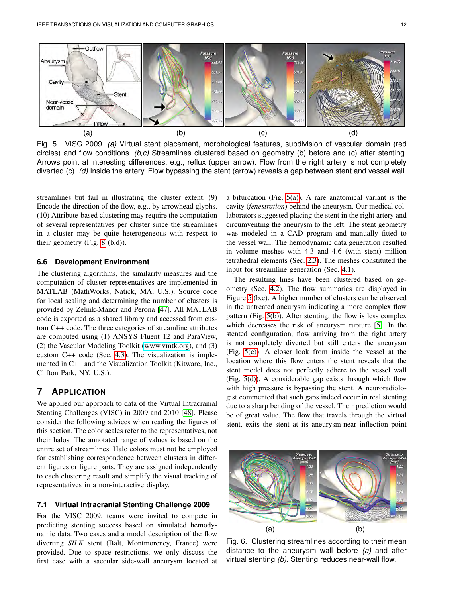<span id="page-11-2"></span>

<span id="page-11-3"></span><span id="page-11-1"></span>Fig. 5. VISC 2009. *(a)* Virtual stent placement, morphological features, subdivision of vascular domain (red circles) and flow conditions. *(b,c)* Streamlines clustered based on geometry (b) before and (c) after stenting. Arrows point at interesting differences, e.g., reflux (upper arrow). Flow from the right artery is not completely diverted (c). *(d)* Inside the artery. Flow bypassing the stent (arrow) reveals a gap between stent and vessel wall.

streamlines but fail in illustrating the cluster extent. (9) Encode the direction of the flow, e.g., by arrowhead glyphs. (10) Attribute-based clustering may require the computation of several representatives per cluster since the streamlines in a cluster may be quite heterogeneous with respect to their geometry (Fig. [8](#page-13-0) (b,d)).

#### **6.6 Development Environment**

The clustering algorithms, the similarity measures and the computation of cluster representatives are implemented in MATLAB (MathWorks, Natick, MA, U.S.). Source code for local scaling and determining the number of clusters is provided by Zelnik-Manor and Perona [\[47\]](#page-15-24). All MATLAB code is exported as a shared library and accessed from custom C++ code. The three categories of streamline attributes are computed using (1) ANSYS Fluent 12 and ParaView, (2) the Vascular Modeling Toolkit [\(www.vmtk.org\)](www.vmtk.org), and (3) custom C++ code (Sec. [4.3\)](#page-3-3). The visualization is implemented in C++ and the Visualization Toolkit (Kitware, Inc., Clifton Park, NY, U.S.).

# **7 APPLICATION**

We applied our approach to data of the Virtual Intracranial Stenting Challenges (VISC) in 2009 and 2010 [\[48\]](#page-15-25). Please consider the following advices when reading the figures of this section. The color scales refer to the representatives, not their halos. The annotated range of values is based on the entire set of streamlines. Halo colors must not be employed for establishing correspondence between clusters in different figures or figure parts. They are assigned independently to each clustering result and simplify the visual tracking of representatives in a non-interactive display.

## <span id="page-11-0"></span>**7.1 Virtual Intracranial Stenting Challenge 2009**

For the VISC 2009, teams were invited to compete in predicting stenting success based on simulated hemodynamic data. Two cases and a model description of the flow diverting *SILK* stent (Balt, Montmorency, France) were provided. Due to space restrictions, we only discuss the first case with a saccular side-wall aneurysm located at

<span id="page-11-5"></span><span id="page-11-4"></span>a bifurcation (Fig. [5\(a\)\)](#page-11-2). A rare anatomical variant is the cavity (*fenestration*) behind the aneurysm. Our medical collaborators suggested placing the stent in the right artery and circumventing the aneurysm to the left. The stent geometry was modeled in a CAD program and manually fitted to the vessel wall. The hemodynamic data generation resulted in volume meshes with 4.3 and 4.6 (with stent) million tetrahedral elements (Sec. [2.3\)](#page-1-2). The meshes constituted the input for streamline generation (Sec. [4.1\)](#page-2-1).

The resulting lines have been clustered based on geometry (Sec. [4.2\)](#page-3-2). The flow summaries are displayed in Figure [5](#page-11-1) (b,c). A higher number of clusters can be observed in the untreated aneurysm indicating a more complex flow pattern (Fig. [5\(b\)\)](#page-11-3). After stenting, the flow is less complex which decreases the risk of aneurysm rupture [\[5\]](#page-14-4). In the stented configuration, flow arriving from the right artery is not completely diverted but still enters the aneurysm (Fig. [5\(c\)\)](#page-11-4). A closer look from inside the vessel at the location where this flow enters the stent reveals that the stent model does not perfectly adhere to the vessel wall (Fig. [5\(d\)\)](#page-11-5). A considerable gap exists through which flow with high pressure is bypassing the stent. A neuroradiologist commented that such gaps indeed occur in real stenting due to a sharp bending of the vessel. Their prediction would be of great value. The flow that travels through the virtual stent, exits the stent at its aneurysm-near inflection point



<span id="page-11-7"></span><span id="page-11-6"></span>Fig. 6. Clustering streamlines according to their mean distance to the aneurysm wall before *(a)* and after virtual stenting *(b)*. Stenting reduces near-wall flow.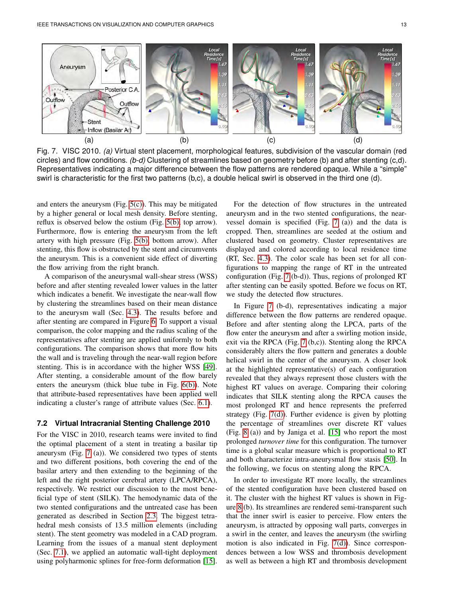

<span id="page-12-1"></span>Fig. 7. VISC 2010. *(a)* Virtual stent placement, morphological features, subdivision of the vascular domain (red circles) and flow conditions. *(b-d)* Clustering of streamlines based on geometry before (b) and after stenting (c,d). Representatives indicating a major difference between the flow patterns are rendered opaque. While a "simple" swirl is characteristic for the first two patterns (b,c), a double helical swirl is observed in the third one (d).

and enters the aneurysm (Fig.  $5(c)$ ). This may be mitigated by a higher general or local mesh density. Before stenting, reflux is observed below the ostium (Fig. [5\(b\),](#page-11-3) top arrow). Furthermore, flow is entering the aneurysm from the left artery with high pressure (Fig. [5\(b\),](#page-11-3) bottom arrow). After stenting, this flow is obstructed by the stent and circumvents the aneurysm. This is a convenient side effect of diverting the flow arriving from the right branch.

A comparison of the aneurysmal wall-shear stress (WSS) before and after stenting revealed lower values in the latter which indicates a benefit. We investigate the near-wall flow by clustering the streamlines based on their mean distance to the aneurysm wall (Sec. [4.3\)](#page-3-3). The results before and after stenting are compared in Figure [6.](#page-11-6) To support a visual comparison, the color mapping and the radius scaling of the representatives after stenting are applied uniformly to both configurations. The comparison shows that more flow hits the wall and is traveling through the near-wall region before stenting. This is in accordance with the higher WSS [\[49\]](#page-15-26). After stenting, a considerable amount of the flow barely enters the aneurysm (thick blue tube in Fig. [6\(b\)\)](#page-11-7). Note that attribute-based representatives have been applied well indicating a cluster's range of attribute values (Sec. [6.1\)](#page-7-0).

# <span id="page-12-0"></span>**7.2 Virtual Intracranial Stenting Challenge 2010**

For the VISC in 2010, research teams were invited to find the optimal placement of a stent in treating a basilar tip aneurysm (Fig. [7](#page-12-1) (a)). We considered two types of stents and two different positions, both covering the end of the basilar artery and then extending to the beginning of the left and the right posterior cerebral artery (LPCA/RPCA), respectively. We restrict our discussion to the most beneficial type of stent (SILK). The hemodynamic data of the two stented configurations and the untreated case has been generated as described in Section [2.3.](#page-1-2) The biggest tetrahedral mesh consists of 13.5 million elements (including stent). The stent geometry was modeled in a CAD program. Learning from the issues of a manual stent deployment (Sec. [7.1\)](#page-11-0), we applied an automatic wall-tight deployment using polyharmonic splines for free-form deformation [\[15\]](#page-14-14).

<span id="page-12-2"></span>For the detection of flow structures in the untreated aneurysm and in the two stented configurations, the nearvessel domain is specified (Fig. [7](#page-12-1) (a)) and the data is cropped. Then, streamlines are seeded at the ostium and clustered based on geometry. Cluster representatives are displayed and colored according to local residence time (RT, Sec. [4.3\)](#page-3-3). The color scale has been set for all configurations to mapping the range of RT in the untreated configuration (Fig. [7](#page-12-1) (b-d)). Thus, regions of prolonged RT after stenting can be easily spotted. Before we focus on RT, we study the detected flow structures.

In Figure [7](#page-12-1) (b-d), representatives indicating a major difference between the flow patterns are rendered opaque. Before and after stenting along the LPCA, parts of the flow enter the aneurysm and after a swirling motion inside, exit via the RPCA (Fig. [7](#page-12-1) (b,c)). Stenting along the RPCA considerably alters the flow pattern and generates a double helical swirl in the center of the aneurysm. A closer look at the highlighted representative(s) of each configuration revealed that they always represent those clusters with the highest RT values on average. Comparing their coloring indicates that SILK stenting along the RPCA causes the most prolonged RT and hence represents the preferred strategy (Fig. [7\(d\)\)](#page-12-2). Further evidence is given by plotting the percentage of streamlines over discrete RT values (Fig. [8](#page-13-0) (a)) and by Janiga et al. [\[15\]](#page-14-14) who report the most prolonged *turnover time* for this configuration. The turnover time is a global scalar measure which is proportional to RT and both characterize intra-aneurysmal flow stasis [\[50\]](#page-15-27). In the following, we focus on stenting along the RPCA.

In order to investigate RT more locally, the streamlines of the stented configuration have been clustered based on it. The cluster with the highest RT values is shown in Figure [8](#page-13-0) (b). Its streamlines are rendered semi-transparent such that the inner swirl is easier to perceive. Flow enters the aneurysm, is attracted by opposing wall parts, converges in a swirl in the center, and leaves the aneurysm (the swirling motion is also indicated in Fig. [7\(d\)\)](#page-12-2). Since correspondences between a low WSS and thrombosis development as well as between a high RT and thrombosis development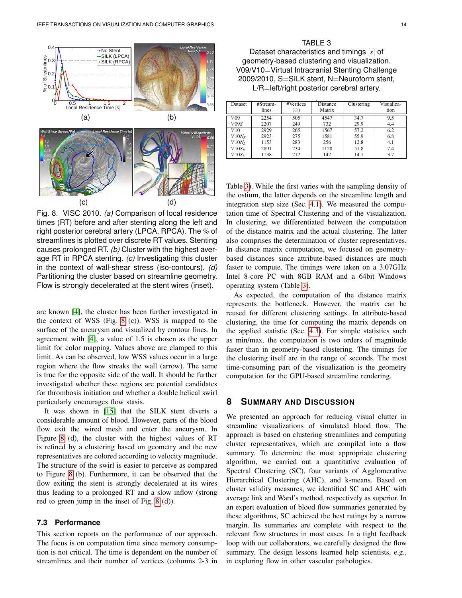

<span id="page-13-0"></span>Fig. 8. VISC 2010. *(a)* Comparison of local residence times (RT) before and after stenting along the left and right posterior cerebral artery (LPCA, RPCA). The % of streamlines is plotted over discrete RT values. Stenting causes prolonged RT. *(b)* Cluster with the highest average RT in RPCA stenting. *(c)* Investigating this cluster in the context of wall-shear stress (iso-contours). *(d)* Partitioning the cluster based on streamline geometry. Flow is strongly decelerated at the stent wires (inset).

are known [\[4\]](#page-14-3), the cluster has been further investigated in the context of WSS (Fig. [8](#page-13-0) (c)). WSS is mapped to the surface of the aneurysm and visualized by contour lines. In agreement with [\[4\]](#page-14-3), a value of 1.5 is chosen as the upper limit for color mapping. Values above are clamped to this limit. As can be observed, low WSS values occur in a large region where the flow streaks the wall (arrow). The same is true for the opposite side of the wall. It should be further investigated whether these regions are potential candidates for thrombosis initiation and whether a double helical swirl particularly encourages flow stasis.

It was shown in [\[15\]](#page-14-14) that the SILK stent diverts a considerable amount of blood. However, parts of the blood flow exit the wired mesh and enter the aneurysm. In Figure [8](#page-13-0) (d), the cluster with the highest values of RT is refined by a clustering based on geometry and the new representatives are colored according to velocity magnitude. The structure of the swirl is easier to perceive as compared to Figure [8](#page-13-0) (b). Furthermore, it can be observed that the flow exiting the stent is strongly decelerated at its wires thus leading to a prolonged RT and a slow inflow (strong red to green jump in the inset of Fig. [8](#page-13-0) (d)).

## **7.3 Performance**

This section reports on the performance of our approach. The focus is on computation time since memory consumption is not critical. The time is dependent on the number of streamlines and their number of vertices (columns 2-3 in

<span id="page-13-1"></span>TABLE 3 Dataset characteristics and timings [*s*] of geometry-based clustering and visualization. V09/V10=Virtual Intracranial Stenting Challenge 2009/2010, S=SILK stent, N=Neuroform stent, L/R=left/right posterior cerebral artery.

| <b>Dataset</b> | #Stream- | #Vertices | Distance | Clustering | Visualiza- |
|----------------|----------|-----------|----------|------------|------------|
|                | lines    | (⊘)       | Matrix   |            | tion       |
| V09            | 2254     | 505       | 4547     | 34.7       | 9.5        |
| V09S           | 2207     | 249       | 732      | 29.9       | 4.4        |
| V 10           | 2929     | 265       | 1567     | 57.2       | 6.2        |
| $V10N_R$       | 2923     | 275       | 1581     | 55.9       | 6.8        |
| $V10N_L$       | 1153     | 283       | 256      | 12.8       | 4.1        |
| $V10S_R$       | 2891     | 234       | 1128     | 51.8       | 7.4        |
| $V10S_L$       | 1138     | 212       | 142      | 14.1       | 3.7        |

Table [3\)](#page-13-1). While the first varies with the sampling density of the ostium, the latter depends on the streamline length and integration step size (Sec. [4.1\)](#page-2-1). We measured the computation time of Spectral Clustering and of the visualization. In clustering, we differentiated between the computation of the distance matrix and the actual clustering. The latter also comprises the determination of cluster representatives. In distance matrix computation, we focused on geometrybased distances since attribute-based distances are much faster to compute. The timings were taken on a 3.07GHz Intel 8-core PC with 8GB RAM and a 64bit Windows operating system (Table [3\)](#page-13-1).

As expected, the computation of the distance matrix represents the bottleneck. However, the matrix can be reused for different clustering settings. In attribute-based clustering, the time for computing the matrix depends on the applied statistic (Sec. [4.3\)](#page-3-3). For simple statistics such as min/max, the computation is two orders of magnitude faster than in geometry-based clustering. The timings for the clustering itself are in the range of seconds. The most time-consuming part of the visualization is the geometry computation for the GPU-based streamline rendering.

# **8 SUMMARY AND DISCUSSION**

We presented an approach for reducing visual clutter in streamline visualizations of simulated blood flow. The approach is based on clustering streamlines and computing cluster representatives, which are compiled into a flow summary. To determine the most appropriate clustering algorithm, we carried out a quantitative evaluation of Spectral Clustering (SC), four variants of Agglomerative Hierarchical Clustering (AHC), and k-means. Based on cluster validity measures, we identified SC and AHC with average link and Ward's method, respectively as superior. In an expert evaluation of blood flow summaries generated by these algorithms, SC achieved the best ratings by a narrow margin. Its summaries are complete with respect to the relevant flow structures in most cases. In a tight feedback loop with our collaborators, we carefully designed the flow summary. The design lessons learned help scientists, e.g., in exploring flow in other vascular pathologies.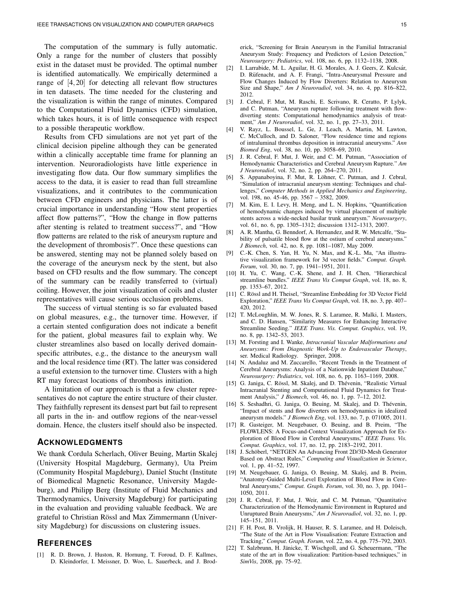The computation of the summary is fully automatic. Only a range for the number of clusters that possibly exist in the dataset must be provided. The optimal number is identified automatically. We empirically determined a range of [4,20] for detecting all relevant flow structures in ten datasets. The time needed for the clustering and the visualization is within the range of minutes. Compared to the Computational Fluid Dynamics (CFD) simulation, which takes hours, it is of little consequence with respect to a possible therapeutic workflow.

Results from CFD simulations are not yet part of the clinical decision pipeline although they can be generated within a clinically acceptable time frame for planning an intervention. Neuroradiologists have little experience in investigating flow data. Our flow summary simplifies the access to the data, it is easier to read than full streamline visualizations, and it contributes to the communication between CFD engineers and physicians. The latter is of crucial importance in understanding "How stent properties affect flow patterns?", "How the change in flow patterns after stenting is related to treatment success?", and "How flow patterns are related to the risk of aneurysm rupture and the development of thrombosis?". Once these questions can be answered, stenting may not be planned solely based on the coverage of the aneurysm neck by the stent, but also based on CFD results and the flow summary. The concept of the summary can be readily transferred to (virtual) coiling. However, the joint visualization of coils and cluster representatives will cause serious occlusion problems.

The success of virtual stenting is so far evaluated based on global measures, e.g., the turnover time. However, if a certain stented configuration does not indicate a benefit for the patient, global measures fail to explain why. We cluster streamlines also based on locally derived domainspecific attributes, e.g., the distance to the aneurysm wall and the local residence time (RT). The latter was considered a useful extension to the turnover time. Clusters with a high RT may forecast locations of thrombosis initiation.

A limitation of our approach is that a few cluster representatives do not capture the entire structure of their cluster. They faithfully represent its densest part but fail to represent all parts in the in- and outflow regions of the near-vessel domain. Hence, the clusters itself should also be inspected.

#### **ACKNOWLEDGMENTS**

We thank Cordula Scherlach, Oliver Beuing, Martin Skalej (University Hospital Magdeburg, Germany), Uta Preim (Community Hospital Magdeburg), Daniel Stucht (Institute of Biomedical Magnetic Resonance, University Magdeburg), and Philipp Berg (Institute of Fluid Mechanics and Thermodynamics, University Magdeburg) for participating in the evaluation and providing valuable feedback. We are grateful to Christian Rössl and Max Zimmermann (University Magdeburg) for discussions on clustering issues.

## **REFERENCES**

<span id="page-14-0"></span>[1] R. D. Brown, J. Huston, R. Hornung, T. Foroud, D. F. Kallmes, D. Kleindorfer, I. Meissner, D. Woo, L. Sauerbeck, and J. Brod-

- <span id="page-14-1"></span>I. Larrabide, M. L. Aguilar, H. G. Morales, A. J. Geers, Z. Kulcsár, D. Rüfenacht, and A. F. Frangi, "Intra-Aneurysmal Pressure and Flow Changes Induced by Flow Diverters: Relation to Aneurysm Size and Shape," *Am J Neuroradiol*, vol. 34, no. 4, pp. 816–822, 2012.
- <span id="page-14-2"></span>[3] J. Cebral, F. Mut, M. Raschi, E. Scrivano, R. Ceratto, P. Lylyk, and C. Putman, "Aneurysm rupture following treatment with flowdiverting stents: Computational hemodynamics analysis of treatment," *Am J Neuroradiol*, vol. 32, no. 1, pp. 27–33, 2011.
- <span id="page-14-3"></span>[4] V. Rayz, L. Boussel, L. Ge, J. Leach, A. Martin, M. Lawton, C. McCulloch, and D. Saloner, "Flow residence time and regions of intraluminal thrombus deposition in intracranial aneurysms." *Ann Biomed Eng*, vol. 38, no. 10, pp. 3058–69, 2010.
- <span id="page-14-4"></span>[5] J. R. Cebral, F. Mut, J. Weir, and C. M. Putman, "Association of Hemodynamic Characteristics and Cerebral Aneurysm Rupture." *Am J Neuroradiol*, vol. 32, no. 2, pp. 264–270, 2011.
- <span id="page-14-5"></span>[6] S. Appanaboyina, F. Mut, R. Löhner, C. Putman, and J. Cebral, "Simulation of intracranial aneurysm stenting: Techniques and challenges," *Computer Methods in Applied Mechanics and Engineering*, vol. 198, no. 45-46, pp. 3567 – 3582, 2009.
- <span id="page-14-6"></span>[7] M. Kim, E. I. Levy, H. Meng, and L. N. Hopkins, "Quantification of hemodynamic changes induced by virtual placement of multiple stents across a wide-necked basilar trunk aneurysm." *Neurosurgery*, vol. 61, no. 6, pp. 1305–1312; discussion 1312–1313, 2007.
- <span id="page-14-7"></span>[8] A. R. Mantha, G. Benndorf, A. Hernandez, and R. W. Metcalfe, "Stability of pulsatile blood flow at the ostium of cerebral aneurysms." *J Biomech*, vol. 42, no. 8, pp. 1081–1087, May 2009.
- <span id="page-14-8"></span>[9] C.-K. Chen, S. Yan, H. Yu, N. Max, and K.-L. Ma, "An illustrative visualization framework for 3d vector fields." *Comput. Graph. Forum*, vol. 30, no. 7, pp. 1941–1951, 2011.
- <span id="page-14-9"></span>[10] H. Yu, C. Wang, C.-K. Shene, and J. H. Chen, "Hierarchical streamline bundles." *IEEE Trans Vis Comput Graph*, vol. 18, no. 8, pp. 1353–67, 2012.
- <span id="page-14-10"></span>[11] C. Rössl and H. Theisel, "Streamline Embedding for 3D Vector Field Exploration," *IEEE Trans Vis Comput Graph*, vol. 18, no. 3, pp. 407– 420, 2012.
- <span id="page-14-11"></span>[12] T. McLoughlin, M. W. Jones, R. S. Laramee, R. Malki, I. Masters, and C. D. Hansen, "Similarity Measures for Enhancing Interactive Streamline Seeding." *IEEE Trans. Vis. Comput. Graphics*, vol. 19, no. 8, pp. 1342–53, 2013.
- <span id="page-14-12"></span>[13] M. Forsting and I. Wanke, *Intracranial Vascular Malformations and Aneurysms: From Diagnostic Work-Up to Endovascular Therapy*, ser. Medical Radiology. Springer, 2008.
- <span id="page-14-13"></span>[14] N. Andaluz and M. Zuccarello, "Recent Trends in the Treatment of Cerebral Aneurysms: Analysis of a Nationwide Inpatient Database," *Neurosurgery: Pediatrics*, vol. 108, no. 6, pp. 1163–1169, 2008.
- <span id="page-14-14"></span>[15] G. Janiga, C. Rössl, M. Skalej, and D. Thévenin, "Realistic Virtual Intracranial Stenting and Computational Fluid Dynamics for Treatment Analysis," *J Biomech*, vol. 46, no. 1, pp. 7–12, 2012.
- <span id="page-14-15"></span>[16] S. Seshadhri, G. Janiga, O. Beuing, M. Skalej, and D. Thévenin, "Impact of stents and flow diverters on hemodynamics in idealized aneurysm models." *J Biomech Eng*, vol. 133, no. 7, p. 071005, 2011.
- <span id="page-14-16"></span>[17] R. Gasteiger, M. Neugebauer, O. Beuing, and B. Preim, "The FLOWLENS: A Focus-and-Context Visualization Approach for Exploration of Blood Flow in Cerebral Aneurysms," *IEEE Trans. Vis. Comput. Graphics*, vol. 17, no. 12, pp. 2183–2192, 2011.
- <span id="page-14-17"></span>[18] J. Schöberl, "NETGEN An Advancing Front 2D/3D-Mesh Generator Based on Abstract Rules," *Computing and Visualization in Science*, vol. 1, pp. 41–52, 1997.
- <span id="page-14-18"></span>[19] M. Neugebauer, G. Janiga, O. Beuing, M. Skalej, and B. Preim, "Anatomy-Guided Multi-Level Exploration of Blood Flow in Cerebral Aneurysms," *Comput. Graph. Forum*, vol. 30, no. 3, pp. 1041– 1050, 2011.
- <span id="page-14-19"></span>[20] J. R. Cebral, F. Mut, J. Weir, and C. M. Putman, "Quantitative Characterization of the Hemodynamic Environment in Ruptured and Unruptured Brain Aneurysms," *Am J Neuroradiol*, vol. 32, no. 1, pp. 145–151, 2011.
- <span id="page-14-20"></span>[21] F. H. Post, B. Vrolijk, H. Hauser, R. S. Laramee, and H. Doleisch, "The State of the Art in Flow Visualisation: Feature Extraction and Tracking," *Comput. Graph. Forum*, vol. 22, no. 4, pp. 775–792, 2003.
- <span id="page-14-21"></span>[22] T. Salzbrunn, H. Jänicke, T. Wischgoll, and G. Scheuermann, "The state of the art in flow visualization: Partition-based techniques," in *SimVis*, 2008, pp. 75–92.